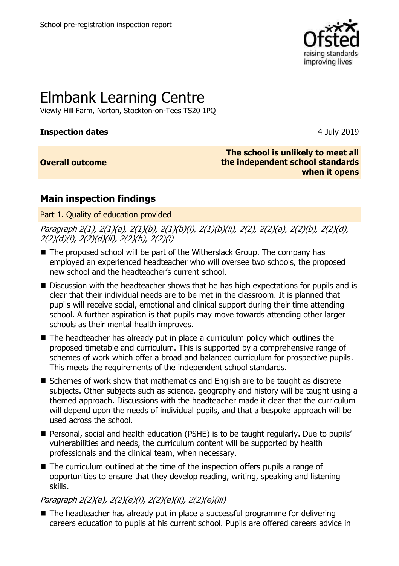

# Elmbank Learning Centre

Viewly Hill Farm, Norton, Stockton-on-Tees TS20 1PQ

# **Inspection dates** 4 July 2019

# **Overall outcome**

**The school is unlikely to meet all the independent school standards when it opens**

# **Main inspection findings**

Part 1. Quality of education provided

Paragraph 2(1), 2(1)(a), 2(1)(b), 2(1)(b)(i), 2(1)(b)(ii), 2(2), 2(2)(a), 2(2)(b), 2(2)(d), 2(2)(d)(i), 2(2)(d)(ii), 2(2)(h), 2(2)(i)

- The proposed school will be part of the Witherslack Group. The company has employed an experienced headteacher who will oversee two schools, the proposed new school and the headteacher's current school.
- Discussion with the headteacher shows that he has high expectations for pupils and is clear that their individual needs are to be met in the classroom. It is planned that pupils will receive social, emotional and clinical support during their time attending school. A further aspiration is that pupils may move towards attending other larger schools as their mental health improves.
- The headteacher has already put in place a curriculum policy which outlines the proposed timetable and curriculum. This is supported by a comprehensive range of schemes of work which offer a broad and balanced curriculum for prospective pupils. This meets the requirements of the independent school standards.
- Schemes of work show that mathematics and English are to be taught as discrete subjects. Other subjects such as science, geography and history will be taught using a themed approach. Discussions with the headteacher made it clear that the curriculum will depend upon the needs of individual pupils, and that a bespoke approach will be used across the school.
- Personal, social and health education (PSHE) is to be taught regularly. Due to pupils' vulnerabilities and needs, the curriculum content will be supported by health professionals and the clinical team, when necessary.
- The curriculum outlined at the time of the inspection offers pupils a range of opportunities to ensure that they develop reading, writing, speaking and listening skills.

Paragraph 2(2)(e), 2(2)(e)(i), 2(2)(e)(ii), 2(2)(e)(iii)

■ The headteacher has already put in place a successful programme for delivering careers education to pupils at his current school. Pupils are offered careers advice in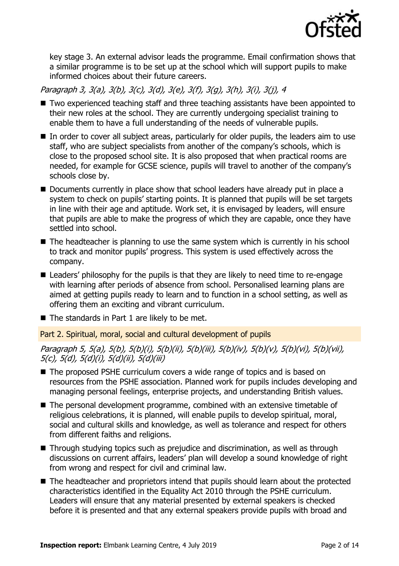

key stage 3. An external advisor leads the programme. Email confirmation shows that a similar programme is to be set up at the school which will support pupils to make informed choices about their future careers.

Paragraph 3, 3(a), 3(b), 3(c), 3(d), 3(e), 3(f), 3(g), 3(h), 3(i), 3(j), 4

- Two experienced teaching staff and three teaching assistants have been appointed to their new roles at the school. They are currently undergoing specialist training to enable them to have a full understanding of the needs of vulnerable pupils.
- In order to cover all subject areas, particularly for older pupils, the leaders aim to use staff, who are subject specialists from another of the company's schools, which is close to the proposed school site. It is also proposed that when practical rooms are needed, for example for GCSE science, pupils will travel to another of the company's schools close by.
- Documents currently in place show that school leaders have already put in place a system to check on pupils' starting points. It is planned that pupils will be set targets in line with their age and aptitude. Work set, it is envisaged by leaders, will ensure that pupils are able to make the progress of which they are capable, once they have settled into school.
- The headteacher is planning to use the same system which is currently in his school to track and monitor pupils' progress. This system is used effectively across the company.
- Leaders' philosophy for the pupils is that they are likely to need time to re-engage with learning after periods of absence from school. Personalised learning plans are aimed at getting pupils ready to learn and to function in a school setting, as well as offering them an exciting and vibrant curriculum.
- $\blacksquare$  The standards in Part 1 are likely to be met.

Part 2. Spiritual, moral, social and cultural development of pupils

Paragraph 5, 5(a), 5(b), 5(b)(i), 5(b)(ii), 5(b)(iii), 5(b)(iv), 5(b)(v), 5(b)(vi), 5(b)(vii), 5(c), 5(d), 5(d)(i), 5(d)(ii), 5(d)(iii)

- The proposed PSHE curriculum covers a wide range of topics and is based on resources from the PSHE association. Planned work for pupils includes developing and managing personal feelings, enterprise projects, and understanding British values.
- The personal development programme, combined with an extensive timetable of religious celebrations, it is planned, will enable pupils to develop spiritual, moral, social and cultural skills and knowledge, as well as tolerance and respect for others from different faiths and religions.
- Through studying topics such as prejudice and discrimination, as well as through discussions on current affairs, leaders' plan will develop a sound knowledge of right from wrong and respect for civil and criminal law.
- The headteacher and proprietors intend that pupils should learn about the protected characteristics identified in the Equality Act 2010 through the PSHE curriculum. Leaders will ensure that any material presented by external speakers is checked before it is presented and that any external speakers provide pupils with broad and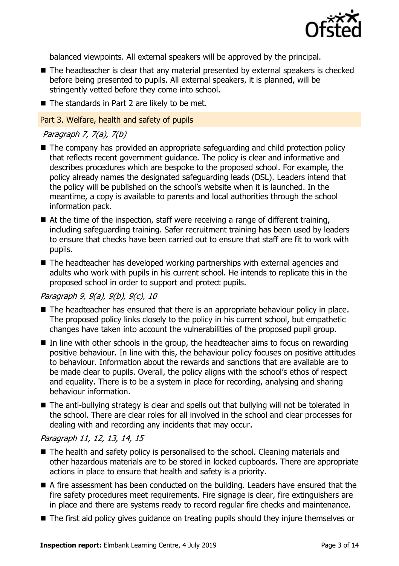

balanced viewpoints. All external speakers will be approved by the principal.

- The headteacher is clear that any material presented by external speakers is checked before being presented to pupils. All external speakers, it is planned, will be stringently vetted before they come into school.
- $\blacksquare$  The standards in Part 2 are likely to be met.

#### Part 3. Welfare, health and safety of pupils

# Paragraph 7, 7(a), 7(b)

- The company has provided an appropriate safeguarding and child protection policy that reflects recent government guidance. The policy is clear and informative and describes procedures which are bespoke to the proposed school. For example, the policy already names the designated safeguarding leads (DSL). Leaders intend that the policy will be published on the school's website when it is launched. In the meantime, a copy is available to parents and local authorities through the school information pack.
- $\blacksquare$  At the time of the inspection, staff were receiving a range of different training, including safeguarding training. Safer recruitment training has been used by leaders to ensure that checks have been carried out to ensure that staff are fit to work with pupils.
- The headteacher has developed working partnerships with external agencies and adults who work with pupils in his current school. He intends to replicate this in the proposed school in order to support and protect pupils.

# Paragraph 9, 9(a), 9(b), 9(c), 10

- The headteacher has ensured that there is an appropriate behaviour policy in place. The proposed policy links closely to the policy in his current school, but empathetic changes have taken into account the vulnerabilities of the proposed pupil group.
- $\blacksquare$  In line with other schools in the group, the headteacher aims to focus on rewarding positive behaviour. In line with this, the behaviour policy focuses on positive attitudes to behaviour. Information about the rewards and sanctions that are available are to be made clear to pupils. Overall, the policy aligns with the school's ethos of respect and equality. There is to be a system in place for recording, analysing and sharing behaviour information.
- The anti-bullying strategy is clear and spells out that bullying will not be tolerated in the school. There are clear roles for all involved in the school and clear processes for dealing with and recording any incidents that may occur.

# Paragraph 11, 12, 13, 14, 15

- The health and safety policy is personalised to the school. Cleaning materials and other hazardous materials are to be stored in locked cupboards. There are appropriate actions in place to ensure that health and safety is a priority.
- A fire assessment has been conducted on the building. Leaders have ensured that the fire safety procedures meet requirements. Fire signage is clear, fire extinguishers are in place and there are systems ready to record regular fire checks and maintenance.
- The first aid policy gives guidance on treating pupils should they injure themselves or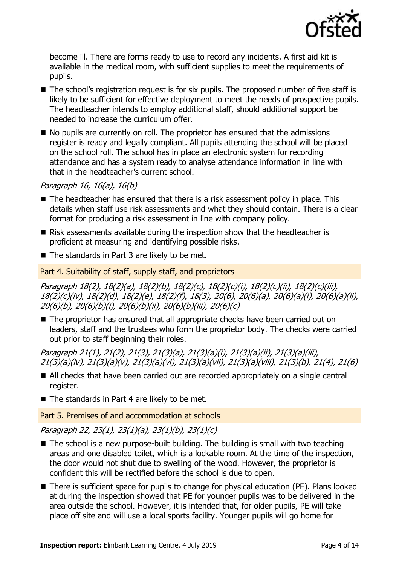

become ill. There are forms ready to use to record any incidents. A first aid kit is available in the medical room, with sufficient supplies to meet the requirements of pupils.

- The school's registration request is for six pupils. The proposed number of five staff is likely to be sufficient for effective deployment to meet the needs of prospective pupils. The headteacher intends to employ additional staff, should additional support be needed to increase the curriculum offer.
- $\blacksquare$  No pupils are currently on roll. The proprietor has ensured that the admissions register is ready and legally compliant. All pupils attending the school will be placed on the school roll. The school has in place an electronic system for recording attendance and has a system ready to analyse attendance information in line with that in the headteacher's current school.

Paragraph 16, 16(a), 16(b)

- The headteacher has ensured that there is a risk assessment policy in place. This details when staff use risk assessments and what they should contain. There is a clear format for producing a risk assessment in line with company policy.
- Risk assessments available during the inspection show that the headteacher is proficient at measuring and identifying possible risks.
- $\blacksquare$  The standards in Part 3 are likely to be met.

### Part 4. Suitability of staff, supply staff, and proprietors

Paragraph 18(2), 18(2)(a), 18(2)(b), 18(2)(c), 18(2)(c)(i), 18(2)(c)(ii), 18(2)(c)(iii), 18(2)(c)(iv), 18(2)(d), 18(2)(e), 18(2)(f), 18(3), 20(6), 20(6)(a), 20(6)(a)(i), 20(6)(a)(ii), 20(6)(b), 20(6)(b)(i), 20(6)(b)(ii), 20(6)(b)(iii), 20(6)(c)

■ The proprietor has ensured that all appropriate checks have been carried out on leaders, staff and the trustees who form the proprietor body. The checks were carried out prior to staff beginning their roles.

Paragraph 21(1), 21(2), 21(3), 21(3)(a), 21(3)(a)(i), 21(3)(a)(ii), 21(3)(a)(iii), 21(3)(a)(iv), 21(3)(a)(v), 21(3)(a)(vi), 21(3)(a)(vii), 21(3)(a)(viii), 21(3)(b), 21(4), 21(6)

- All checks that have been carried out are recorded appropriately on a single central register.
- $\blacksquare$  The standards in Part 4 are likely to be met.

Part 5. Premises of and accommodation at schools

Paragraph 22, 23(1), 23(1)(a), 23(1)(b), 23(1)(c)

- $\blacksquare$  The school is a new purpose-built building. The building is small with two teaching areas and one disabled toilet, which is a lockable room. At the time of the inspection, the door would not shut due to swelling of the wood. However, the proprietor is confident this will be rectified before the school is due to open.
- There is sufficient space for pupils to change for physical education (PE). Plans looked at during the inspection showed that PE for younger pupils was to be delivered in the area outside the school. However, it is intended that, for older pupils, PE will take place off site and will use a local sports facility. Younger pupils will go home for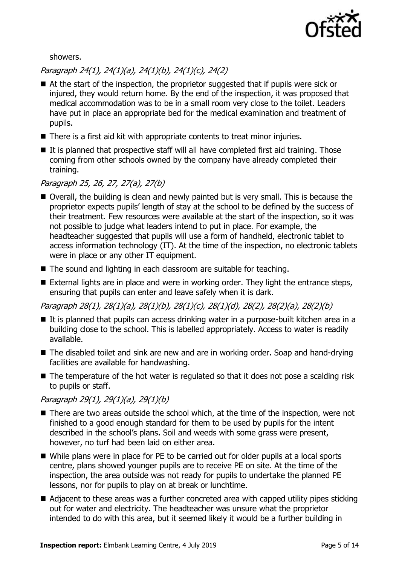

showers.

Paragraph 24(1), 24(1)(a), 24(1)(b), 24(1)(c), 24(2)

- At the start of the inspection, the proprietor suggested that if pupils were sick or injured, they would return home. By the end of the inspection, it was proposed that medical accommodation was to be in a small room very close to the toilet. Leaders have put in place an appropriate bed for the medical examination and treatment of pupils.
- There is a first aid kit with appropriate contents to treat minor injuries.
- $\blacksquare$  It is planned that prospective staff will all have completed first aid training. Those coming from other schools owned by the company have already completed their training.

# Paragraph 25, 26, 27, 27(a), 27(b)

- Overall, the building is clean and newly painted but is very small. This is because the proprietor expects pupils' length of stay at the school to be defined by the success of their treatment. Few resources were available at the start of the inspection, so it was not possible to judge what leaders intend to put in place. For example, the headteacher suggested that pupils will use a form of handheld, electronic tablet to access information technology (IT). At the time of the inspection, no electronic tablets were in place or any other IT equipment.
- The sound and lighting in each classroom are suitable for teaching.
- External lights are in place and were in working order. They light the entrance steps, ensuring that pupils can enter and leave safely when it is dark.

Paragraph 28(1), 28(1)(a), 28(1)(b), 28(1)(c), 28(1)(d), 28(2), 28(2)(a), 28(2)(b)

- It is planned that pupils can access drinking water in a purpose-built kitchen area in a building close to the school. This is labelled appropriately. Access to water is readily available.
- The disabled toilet and sink are new and are in working order. Soap and hand-drying facilities are available for handwashing.
- The temperature of the hot water is regulated so that it does not pose a scalding risk to pupils or staff.

# Paragraph 29(1), 29(1)(a), 29(1)(b)

- There are two areas outside the school which, at the time of the inspection, were not finished to a good enough standard for them to be used by pupils for the intent described in the school's plans. Soil and weeds with some grass were present, however, no turf had been laid on either area.
- While plans were in place for PE to be carried out for older pupils at a local sports centre, plans showed younger pupils are to receive PE on site. At the time of the inspection, the area outside was not ready for pupils to undertake the planned PE lessons, nor for pupils to play on at break or lunchtime.
- Adjacent to these areas was a further concreted area with capped utility pipes sticking out for water and electricity. The headteacher was unsure what the proprietor intended to do with this area, but it seemed likely it would be a further building in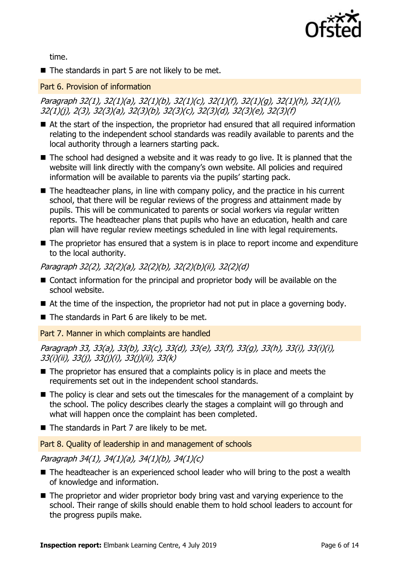

time.

 $\blacksquare$  The standards in part 5 are not likely to be met.

#### Part 6. Provision of information

Paragraph 32(1), 32(1)(a), 32(1)(b), 32(1)(c), 32(1)(f), 32(1)(g), 32(1)(h), 32(1)(i), 32(1)(j), 2(3), 32(3)(a), 32(3)(b), 32(3)(c), 32(3)(d), 32(3)(e), 32(3)(f)

- At the start of the inspection, the proprietor had ensured that all required information relating to the independent school standards was readily available to parents and the local authority through a learners starting pack.
- The school had designed a website and it was ready to go live. It is planned that the website will link directly with the company's own website. All policies and required information will be available to parents via the pupils' starting pack.
- $\blacksquare$  The headteacher plans, in line with company policy, and the practice in his current school, that there will be regular reviews of the progress and attainment made by pupils. This will be communicated to parents or social workers via regular written reports. The headteacher plans that pupils who have an education, health and care plan will have regular review meetings scheduled in line with legal requirements.
- The proprietor has ensured that a system is in place to report income and expenditure to the local authority.

Paragraph 32(2), 32(2)(a), 32(2)(b), 32(2)(b)(ii), 32(2)(d)

- Contact information for the principal and proprietor body will be available on the school website.
- At the time of the inspection, the proprietor had not put in place a governing body.
- $\blacksquare$  The standards in Part 6 are likely to be met.

Part 7. Manner in which complaints are handled

Paragraph 33, 33(a), 33(b), 33(c), 33(d), 33(e), 33(f), 33(g), 33(h), 33(i), 33(i)(i), 33(i)(ii), 33(j), 33(j)(i), 33(j)(ii), 33(k)

- $\blacksquare$  The proprietor has ensured that a complaints policy is in place and meets the requirements set out in the independent school standards.
- $\blacksquare$  The policy is clear and sets out the timescales for the management of a complaint by the school. The policy describes clearly the stages a complaint will go through and what will happen once the complaint has been completed.
- $\blacksquare$  The standards in Part 7 are likely to be met.

Part 8. Quality of leadership in and management of schools

Paragraph 34(1), 34(1)(a), 34(1)(b), 34(1)(c)

- The headteacher is an experienced school leader who will bring to the post a wealth of knowledge and information.
- The proprietor and wider proprietor body bring vast and varying experience to the school. Their range of skills should enable them to hold school leaders to account for the progress pupils make.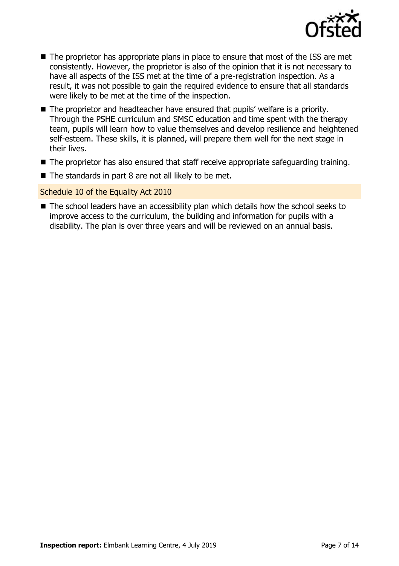

- The proprietor has appropriate plans in place to ensure that most of the ISS are met consistently. However, the proprietor is also of the opinion that it is not necessary to have all aspects of the ISS met at the time of a pre-registration inspection. As a result, it was not possible to gain the required evidence to ensure that all standards were likely to be met at the time of the inspection.
- The proprietor and headteacher have ensured that pupils' welfare is a priority. Through the PSHE curriculum and SMSC education and time spent with the therapy team, pupils will learn how to value themselves and develop resilience and heightened self-esteem. These skills, it is planned, will prepare them well for the next stage in their lives.
- The proprietor has also ensured that staff receive appropriate safeguarding training.
- $\blacksquare$  The standards in part 8 are not all likely to be met.

#### Schedule 10 of the Equality Act 2010

■ The school leaders have an accessibility plan which details how the school seeks to improve access to the curriculum, the building and information for pupils with a disability. The plan is over three years and will be reviewed on an annual basis.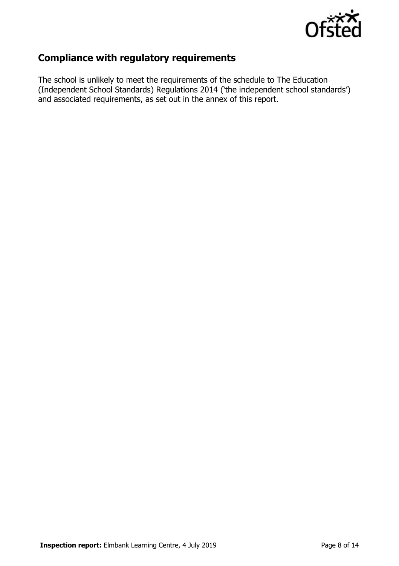

# **Compliance with regulatory requirements**

The school is unlikely to meet the requirements of the schedule to The Education (Independent School Standards) Regulations 2014 ('the independent school standards') and associated requirements, as set out in the annex of this report.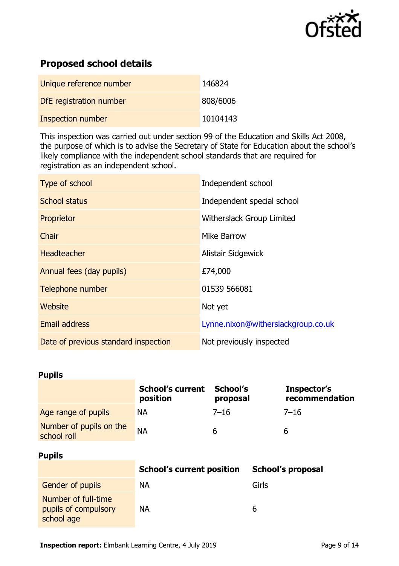

# **Proposed school details**

| Unique reference number  | 146824   |
|--------------------------|----------|
| DfE registration number  | 808/6006 |
| <b>Inspection number</b> | 10104143 |

This inspection was carried out under section 99 of the Education and Skills Act 2008, the purpose of which is to advise the Secretary of State for Education about the school's likely compliance with the independent school standards that are required for registration as an independent school.

| Type of school                       | Independent school                 |
|--------------------------------------|------------------------------------|
| <b>School status</b>                 | Independent special school         |
| Proprietor                           | Witherslack Group Limited          |
| Chair                                | Mike Barrow                        |
| <b>Headteacher</b>                   | Alistair Sidgewick                 |
| Annual fees (day pupils)             | £74,000                            |
| Telephone number                     | 01539 566081                       |
| Website                              | Not yet                            |
| <b>Email address</b>                 | Lynne.nixon@witherslackgroup.co.uk |
| Date of previous standard inspection | Not previously inspected           |

### **Pupils**

|                                        | <b>School's current</b><br>position | School's<br>proposal | Inspector's<br>recommendation |
|----------------------------------------|-------------------------------------|----------------------|-------------------------------|
| Age range of pupils                    | <b>NA</b>                           | $7 - 16$             | $7 - 16$                      |
| Number of pupils on the<br>school roll | <b>NA</b>                           | h                    | b                             |

#### **Pupils**

|                                                           | <b>School's current position</b> | <b>School's proposal</b> |
|-----------------------------------------------------------|----------------------------------|--------------------------|
| <b>Gender of pupils</b>                                   | NА                               | Girls                    |
| Number of full-time<br>pupils of compulsory<br>school age | <b>NA</b>                        | h                        |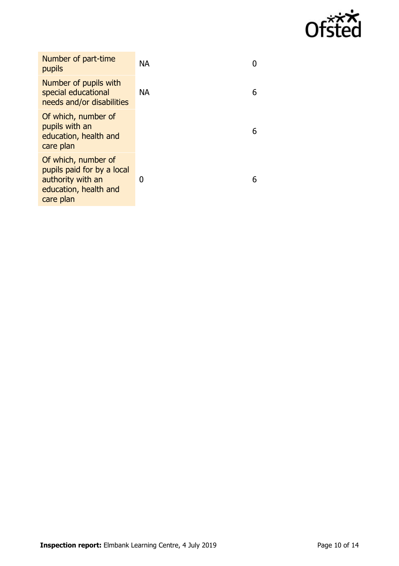

| Number of part-time<br>pupils                                                                                | <b>NA</b> |   |
|--------------------------------------------------------------------------------------------------------------|-----------|---|
| Number of pupils with<br>special educational<br>needs and/or disabilities                                    | <b>NA</b> | 6 |
| Of which, number of<br>pupils with an<br>education, health and<br>care plan                                  |           | 6 |
| Of which, number of<br>pupils paid for by a local<br>authority with an<br>education, health and<br>care plan | 0         | 6 |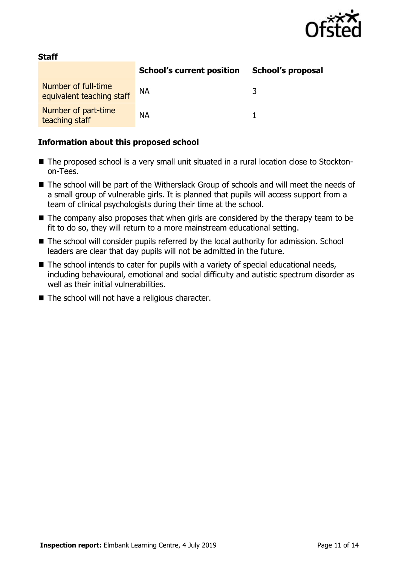

| <b>Staff</b>                                     |                                  |                          |  |  |
|--------------------------------------------------|----------------------------------|--------------------------|--|--|
|                                                  | <b>School's current position</b> | <b>School's proposal</b> |  |  |
| Number of full-time<br>equivalent teaching staff | NА                               |                          |  |  |
| Number of part-time<br>teaching staff            | <b>NA</b>                        |                          |  |  |

### **Information about this proposed school**

**Staff**

- The proposed school is a very small unit situated in a rural location close to Stocktonon-Tees.
- The school will be part of the Witherslack Group of schools and will meet the needs of a small group of vulnerable girls. It is planned that pupils will access support from a team of clinical psychologists during their time at the school.
- The company also proposes that when girls are considered by the therapy team to be fit to do so, they will return to a more mainstream educational setting.
- The school will consider pupils referred by the local authority for admission. School leaders are clear that day pupils will not be admitted in the future.
- The school intends to cater for pupils with a variety of special educational needs, including behavioural, emotional and social difficulty and autistic spectrum disorder as well as their initial vulnerabilities.
- The school will not have a religious character.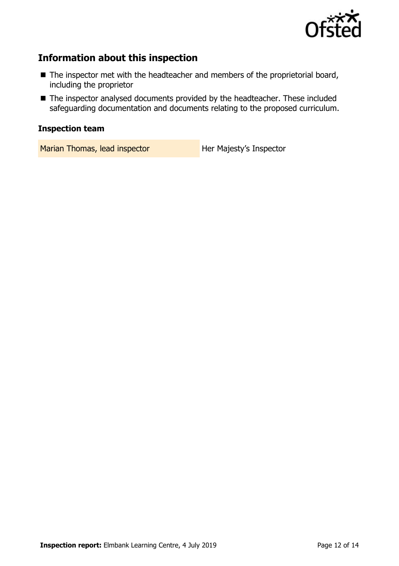

# **Information about this inspection**

- The inspector met with the headteacher and members of the proprietorial board, including the proprietor
- The inspector analysed documents provided by the headteacher. These included safeguarding documentation and documents relating to the proposed curriculum.

# **Inspection team**

Marian Thomas, lead inspector **Her Majesty's Inspector**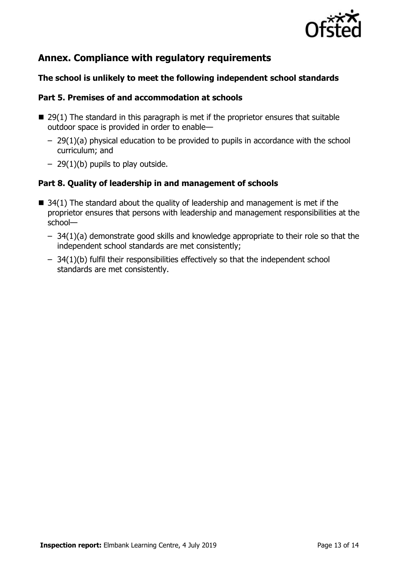

# **Annex. Compliance with regulatory requirements**

# **The school is unlikely to meet the following independent school standards**

### **Part 5. Premises of and accommodation at schools**

- $\blacksquare$  29(1) The standard in this paragraph is met if the proprietor ensures that suitable outdoor space is provided in order to enable—
	- 29(1)(a) physical education to be provided to pupils in accordance with the school curriculum; and
	- $-$  29(1)(b) pupils to play outside.

# **Part 8. Quality of leadership in and management of schools**

- $\blacksquare$  34(1) The standard about the quality of leadership and management is met if the proprietor ensures that persons with leadership and management responsibilities at the school—
	- 34(1)(a) demonstrate good skills and knowledge appropriate to their role so that the independent school standards are met consistently;
	- 34(1)(b) fulfil their responsibilities effectively so that the independent school standards are met consistently.